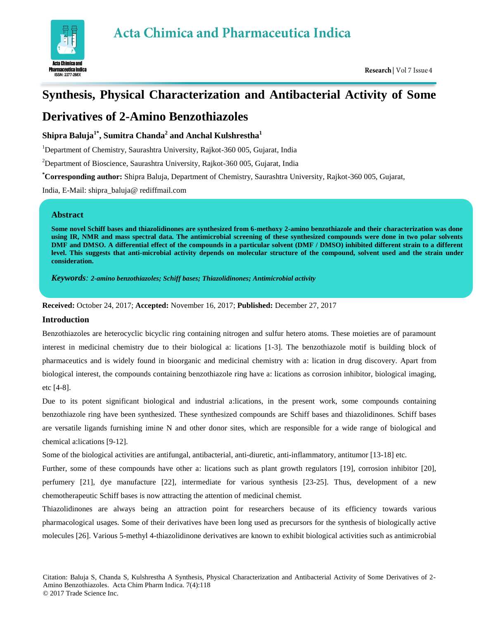

# **Synthesis, Physical Characterization and Antibacterial Activity of Some**

# **Derivatives of 2-Amino Benzothiazoles**

## **Shipra Baluja1\* , Sumitra Chanda<sup>2</sup> and Anchal Kulshrestha<sup>1</sup>**

<sup>1</sup>Department of Chemistry, Saurashtra University, Rajkot-360 005, Gujarat, India

<sup>2</sup>Department of Bioscience, Saurashtra University, Rajkot-360 005, Gujarat, India

**\*Corresponding author:** Shipra Baluja, Department of Chemistry, Saurashtra University, Rajkot-360 005, Gujarat,

India, E-Mail: shipra\_baluja@ rediffmail.com

## **Abstract**

**Some novel Schiff bases and thiazolidinones are synthesized from 6-methoxy 2-amino benzothiazole and their characterization was done using IR, NMR and mass spectral data. The antimicrobial screening of these synthesized compounds were done in two polar solvents DMF and DMSO. A differential effect of the compounds in a particular solvent (DMF / DMSO) inhibited different strain to a different level. This suggests that anti-microbial activity depends on molecular structure of the compound, solvent used and the strain under consideration.**

*Keywords: 2-amino benzothiazoles; Schiff bases; Thiazolidinones; Antimicrobial activity* 

**Received:** October 24, 2017; **Accepted:** November 16, 2017; **Published:** December 27, 2017

## **Introduction**

Benzothiazoles are heterocyclic bicyclic ring containing nitrogen and sulfur hetero atoms. These moieties are of paramount interest in medicinal chemistry due to their biological a: lications [1-3]. The benzothiazole motif is building block of pharmaceutics and is widely found in bioorganic and medicinal chemistry with a: lication in drug discovery. Apart from biological interest, the compounds containing benzothiazole ring have a: lications as corrosion inhibitor, biological imaging, etc [4-8].

Due to its potent significant biological and industrial a:lications, in the present work, some compounds containing benzothiazole ring have been synthesized. These synthesized compounds are Schiff bases and thiazolidinones. Schiff bases are versatile ligands furnishing imine N and other donor sites, which are responsible for a wide range of biological and chemical a:lications [9-12].

Some of the biological activities are antifungal, antibacterial, anti-diuretic, anti-inflammatory, antitumor [13-18] etc.

Further, some of these compounds have other a: lications such as plant growth regulators [19], corrosion inhibitor [20], perfumery [21], dye manufacture [22], intermediate for various synthesis [23-25]. Thus, development of a new chemotherapeutic Schiff bases is now attracting the attention of medicinal chemist.

Thiazolidinones are always being an attraction point for researchers because of its efficiency towards various pharmacological usages. Some of their derivatives have been long used as precursors for the synthesis of biologically active molecules [26]. Various 5-methyl 4-thiazolidinone derivatives are known to exhibit biological activities such as antimicrobial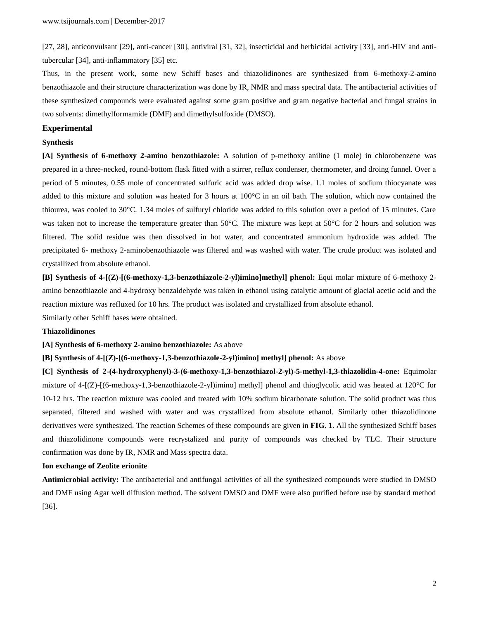[27, 28], anticonvulsant [29], anti-cancer [30], antiviral [31, 32], insecticidal and herbicidal activity [33], anti-HIV and antitubercular [34], anti-inflammatory [35] etc.

Thus, in the present work, some new Schiff bases and thiazolidinones are synthesized from 6-methoxy-2-amino benzothiazole and their structure characterization was done by IR, NMR and mass spectral data. The antibacterial activities of these synthesized compounds were evaluated against some gram positive and gram negative bacterial and fungal strains in two solvents: dimethylformamide (DMF) and dimethylsulfoxide (DMSO).

#### **Experimental**

#### **Synthesis**

**[A] Synthesis of 6-methoxy 2-amino benzothiazole:** A solution of p-methoxy aniline (1 mole) in chlorobenzene was prepared in a three-necked, round-bottom flask fitted with a stirrer, reflux condenser, thermometer, and droing funnel. Over a period of 5 minutes, 0.55 mole of concentrated sulfuric acid was added drop wise. 1.1 moles of sodium thiocyanate was added to this mixture and solution was heated for 3 hours at 100°C in an oil bath. The solution, which now contained the thiourea, was cooled to 30°C. 1.34 moles of sulfuryl chloride was added to this solution over a period of 15 minutes. Care was taken not to increase the temperature greater than 50°C. The mixture was kept at 50°C for 2 hours and solution was filtered. The solid residue was then dissolved in hot water, and concentrated ammonium hydroxide was added. The precipitated 6- methoxy 2-aminobenzothiazole was filtered and was washed with water. The crude product was isolated and crystallized from absolute ethanol.

**[B] Synthesis of 4-[(Z)-[(6-methoxy-1,3-benzothiazole-2-yl)imino]methyl] phenol:** Equi molar mixture of 6-methoxy 2 amino benzothiazole and 4-hydroxy benzaldehyde was taken in ethanol using catalytic amount of glacial acetic acid and the reaction mixture was refluxed for 10 hrs. The product was isolated and crystallized from absolute ethanol. Similarly other Schiff bases were obtained.

#### **Thiazolidinones**

**[A] Synthesis of 6-methoxy 2-amino benzothiazole:** As above

**[B] Synthesis of 4-[(Z)-[(6-methoxy-1,3-benzothiazole-2-yl)imino] methyl] phenol:** As above

**[C] Synthesis of 2-(4-hydroxyphenyl)-3-(6-methoxy-1,3-benzothiazol-2-yl)-5-methyl-1,3-thiazolidin-4-one:** Equimolar mixture of 4-[(Z)-[(6-methoxy-1,3-benzothiazole-2-yl)imino] methyl] phenol and thioglycolic acid was heated at 120°C for 10-12 hrs. The reaction mixture was cooled and treated with 10% sodium bicarbonate solution. The solid product was thus separated, filtered and washed with water and was crystallized from absolute ethanol. Similarly other thiazolidinone derivatives were synthesized. The reaction Schemes of these compounds are given in **FIG. 1**. All the synthesized Schiff bases and thiazolidinone compounds were recrystalized and purity of compounds was checked by TLC. Their structure confirmation was done by IR, NMR and Mass spectra data.

#### **Ion exchange of Zeolite erionite**

**Antimicrobial activity:** The antibacterial and antifungal activities of all the synthesized compounds were studied in DMSO and DMF using Agar well diffusion method. The solvent DMSO and DMF were also purified before use by standard method [36].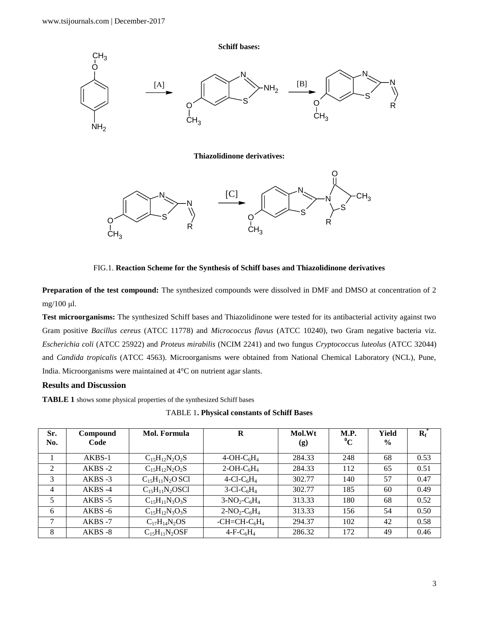

FIG.1. **Reaction Scheme for the Synthesis of Schiff bases and Thiazolidinone derivatives**

**Preparation of the test compound:** The synthesized compounds were dissolved in DMF and DMSO at concentration of 2 mg/100 μl.

**Test microorganisms:** The synthesized Schiff bases and Thiazolidinone were tested for its antibacterial activity against two Gram positive *Bacillus cereus* (ATCC 11778) and *Micrococcus flavus* (ATCC 10240), two Gram negative bacteria viz. *Escherichia coli* (ATCC 25922) and *Proteus mirabilis* (NCIM 2241) and two fungus *Cryptococcus luteolus* (ATCC 32044) and *Candida tropicalis* (ATCC 4563). Microorganisms were obtained from National Chemical Laboratory (NCL), Pune, India. Microorganisms were maintained at 4°C on nutrient agar slants.

## **Results and Discussion**

**TABLE 1** shows some physical properties of the synthesized Schiff bases

TABLE 1**. Physical constants of Schiff Bases**

| Sr.<br>No.     | Compound<br>Code | Mol. Formula           | R                                     | Mol.Wt<br>(g) | M.P.<br>$\rm ^0C$ | Yield<br>$\frac{6}{9}$ | $R_f$ |
|----------------|------------------|------------------------|---------------------------------------|---------------|-------------------|------------------------|-------|
|                | $AKBS-1$         | $C_{15}H_{12}N_2O_2S$  | $4-OH-C6H4$                           | 284.33        | 248               | 68                     | 0.53  |
| 2              | $AKBS -2$        | $C_{15}H_{12}N_2O_2S$  | $2-OH-C6H4$                           | 284.33        | 112               | 65                     | 0.51  |
| 3              | $AKBS -3$        | $C_{15}H_{11}N_2O$ SCl | 4-Cl-C <sub>6</sub> H <sub>4</sub>    | 302.77        | 140               | 57                     | 0.47  |
| $\overline{4}$ | AKBS-4           | $C_{15}H_{11}N_2OSCl$  | $3$ -Cl-C <sub>6</sub> H <sub>4</sub> | 302.77        | 185               | 60                     | 0.49  |
| 5              | $AKBS -5$        | $C_{15}H_{11}N_3O_3S$  | $3-NO_2-C_6H_4$                       | 313.33        | 180               | 68                     | 0.52  |
| 6              | $AKBS -6$        | $C_{15}H_{12}N_3O_3S$  | $2-NO_2-C_6H_4$                       | 313.33        | 156               | 54                     | 0.50  |
| 7              | AKBS-7           | $C_{17}H_{14}N_2OS$    | -CH=CH- $C_6H_4$                      | 294.37        | 102               | 42                     | 0.58  |
| 8              | $AKBS -8$        | $C_{15}H_{11}N_2OSF$   | $4-F-C6H4$                            | 286.32        | 172               | 49                     | 0.46  |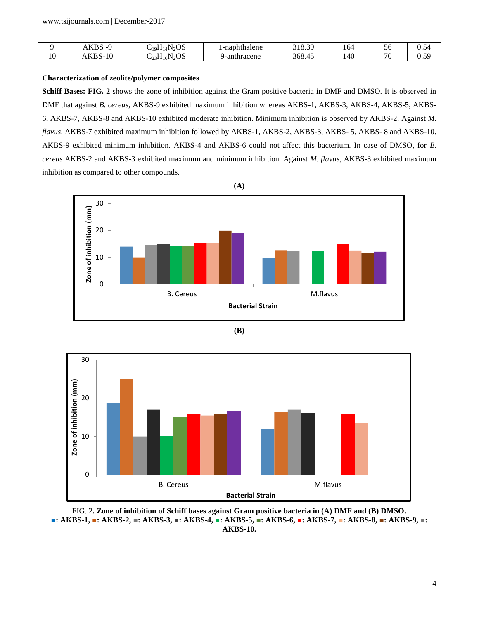|    | VDC<br>ഫറ | $\alpha$<br>. .<br>. .<br>41 V O O<br>10 Г | hthalene<br>220<br>19 F H<br>-па | ാറ<br>21 O<br>-<br>.د.ه ۱ | $\sim$<br>104 | IJ                       | $\overline{\phantom{0}}$<br>J.34 |
|----|-----------|--------------------------------------------|----------------------------------|---------------------------|---------------|--------------------------|----------------------------------|
| 10 | KBS-10    | $N_2OS$<br>-10-<br>544<br>رے               | thracene<br>ан                   | 368.45                    | 40            | $\overline{\phantom{a}}$ | 59<br>U.J.                       |

### **Characterization of zeolite/polymer composites**

**Schiff Bases: FIG. 2** shows the zone of inhibition against the Gram positive bacteria in DMF and DMSO. It is observed in DMF that against *B. cereus*, AKBS-9 exhibited maximum inhibition whereas AKBS-1, AKBS-3, AKBS-4, AKBS-5, AKBS-6, AKBS-7, AKBS-8 and AKBS-10 exhibited moderate inhibition. Minimum inhibition is observed by AKBS-2. Against *M. flavus*, AKBS-7 exhibited maximum inhibition followed by AKBS-1, AKBS-2, AKBS-3, AKBS- 5, AKBS- 8 and AKBS-10. AKBS-9 exhibited minimum inhibition. AKBS-4 and AKBS-6 could not affect this bacterium. In case of DMSO, for *B. cereus* AKBS-2 and AKBS-3 exhibited maximum and minimum inhibition. Against *M. flavus*, AKBS-3 exhibited maximum inhibition as compared to other compounds.







FIG. 2**. Zone of inhibition of Schiff bases against Gram positive bacteria in (A) DMF and (B) DMSO. ■: AKBS-1, ■: AKBS-2, ■: AKBS-3, ■: AKBS-4, ■: AKBS-5, ■: AKBS-6, ■: AKBS-7, ■: AKBS-8, ■: AKBS-9, ■: AKBS-10.**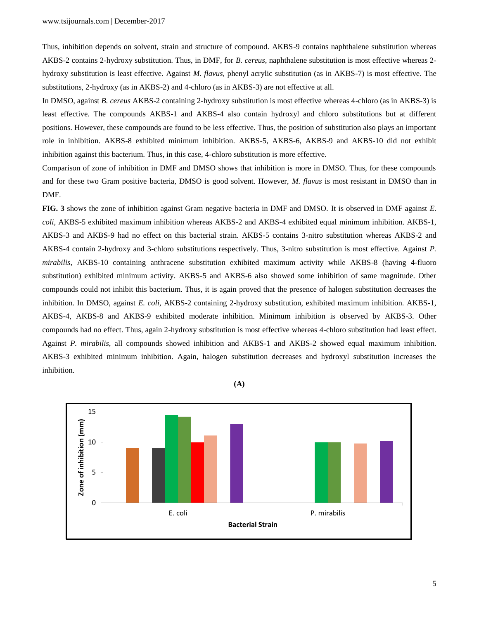Thus, inhibition depends on solvent, strain and structure of compound. AKBS-9 contains naphthalene substitution whereas AKBS-2 contains 2-hydroxy substitution. Thus, in DMF, for *B. cereus*, naphthalene substitution is most effective whereas 2 hydroxy substitution is least effective. Against *M. flavus*, phenyl acrylic substitution (as in AKBS-7) is most effective. The substitutions, 2-hydroxy (as in AKBS-2) and 4-chloro (as in AKBS-3) are not effective at all.

In DMSO, against *B. cereus* AKBS-2 containing 2-hydroxy substitution is most effective whereas 4-chloro (as in AKBS-3) is least effective. The compounds AKBS-1 and AKBS-4 also contain hydroxyl and chloro substitutions but at different positions. However, these compounds are found to be less effective. Thus, the position of substitution also plays an important role in inhibition. AKBS-8 exhibited minimum inhibition. AKBS-5, AKBS-6, AKBS-9 and AKBS-10 did not exhibit inhibition against this bacterium. Thus, in this case, 4-chloro substitution is more effective.

Comparison of zone of inhibition in DMF and DMSO shows that inhibition is more in DMSO. Thus, for these compounds and for these two Gram positive bacteria, DMSO is good solvent. However, *M. flavus* is most resistant in DMSO than in DMF.

**FIG. 3** shows the zone of inhibition against Gram negative bacteria in DMF and DMSO. It is observed in DMF against *E. coli*, AKBS-5 exhibited maximum inhibition whereas AKBS-2 and AKBS-4 exhibited equal minimum inhibition. AKBS-1, AKBS-3 and AKBS-9 had no effect on this bacterial strain. AKBS-5 contains 3-nitro substitution whereas AKBS-2 and AKBS-4 contain 2-hydroxy and 3-chloro substitutions respectively. Thus, 3-nitro substitution is most effective. Against *P. mirabilis*, AKBS-10 containing anthracene substitution exhibited maximum activity while AKBS-8 (having 4-fluoro substitution) exhibited minimum activity. AKBS-5 and AKBS-6 also showed some inhibition of same magnitude. Other compounds could not inhibit this bacterium. Thus, it is again proved that the presence of halogen substitution decreases the inhibition. In DMSO, against *E. coli*, AKBS-2 containing 2-hydroxy substitution, exhibited maximum inhibition. AKBS-1, AKBS-4, AKBS-8 and AKBS-9 exhibited moderate inhibition. Minimum inhibition is observed by AKBS-3. Other compounds had no effect. Thus, again 2-hydroxy substitution is most effective whereas 4-chloro substitution had least effect. Against *P. mirabilis*, all compounds showed inhibition and AKBS-1 and AKBS-2 showed equal maximum inhibition. AKBS-3 exhibited minimum inhibition. Again, halogen substitution decreases and hydroxyl substitution increases the inhibition.

**(A)**

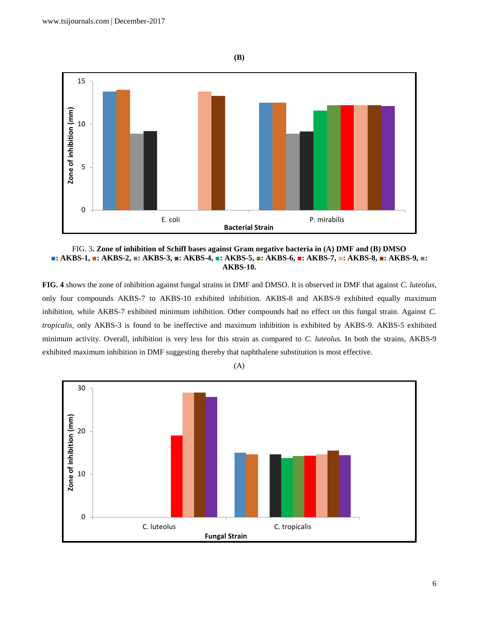

FIG. 3**. Zone of inhibition of Schiff bases against Gram negative bacteria in (A) DMF and (B) DMSO ■: AKBS-1, ■: AKBS-2, ■: AKBS-3, ■: AKBS-4, ■: AKBS-5, ■: AKBS-6, ■: AKBS-7, ■: AKBS-8, ■: AKBS-9, ■: AKBS-10.**

**FIG. 4** shows the zone of inhibition against fungal strains in DMF and DMSO. It is observed in DMF that against *C. luteolus*, only four compounds AKBS-7 to AKBS-10 exhibited inhibition. AKBS-8 and AKBS-9 exhibited equally maximum inhibition, while AKBS-7 exhibited minimum inhibition. Other compounds had no effect on this fungal strain. Against *C. tropicalis*, only AKBS-3 is found to be ineffective and maximum inhibition is exhibited by AKBS-9. AKBS-5 exhibited minimum activity. Overall, inhibition is very less for this strain as compared to *C. luteolus.* In both the strains, AKBS-9 exhibited maximum inhibition in DMF suggesting thereby that naphthalene substitution is most effective.

(A)



**(B)**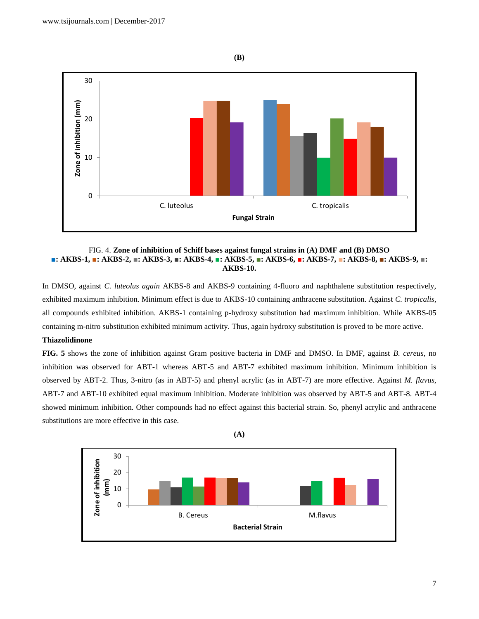

FIG. 4. **Zone of inhibition of Schiff bases against fungal strains in (A) DMF and (B) DMSO ■: AKBS-1, ■: AKBS-2, ■: AKBS-3, ■: AKBS-4, ■: AKBS-5, ■: AKBS-6, ■: AKBS-7, ■: AKBS-8, ■: AKBS-9, ■: AKBS-10.**

In DMSO, against *C. luteolus again* AKBS-8 and AKBS-9 containing 4-fluoro and naphthalene substitution respectively, exhibited maximum inhibition. Minimum effect is due to AKBS-10 containing anthracene substitution. Against *C. tropicalis*, all compounds exhibited inhibition. AKBS-1 containing p-hydroxy substitution had maximum inhibition. While AKBS-05 containing m-nitro substitution exhibited minimum activity. Thus, again hydroxy substitution is proved to be more active.

## **Thiazolidinone**

**FIG. 5** shows the zone of inhibition against Gram positive bacteria in DMF and DMSO. In DMF, against *B. cereus*, no inhibition was observed for ABT-1 whereas ABT-5 and ABT-7 exhibited maximum inhibition. Minimum inhibition is observed by ABT-2. Thus, 3-nitro (as in ABT-5) and phenyl acrylic (as in ABT-7) are more effective. Against *M. flavus*, ABT-7 and ABT-10 exhibited equal maximum inhibition. Moderate inhibition was observed by ABT-5 and ABT-8. ABT-4 showed minimum inhibition. Other compounds had no effect against this bacterial strain. So, phenyl acrylic and anthracene substitutions are more effective in this case.



**(A)**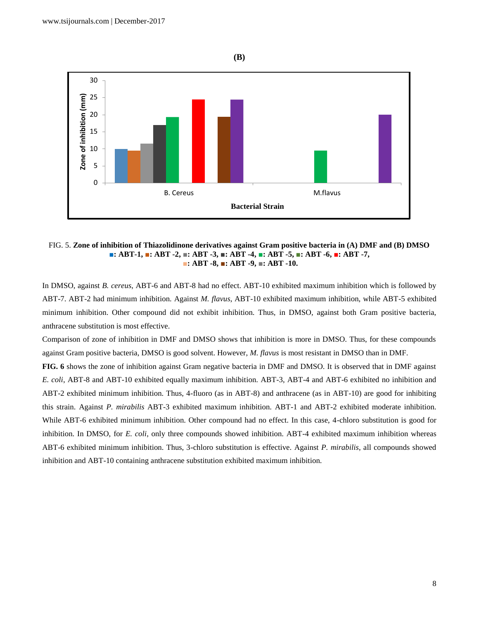**(B)**



FIG. 5. **Zone of inhibition of Thiazolidinone derivatives against Gram positive bacteria in (A) DMF and (B) DMSO ■: ABT-1, ■: ABT -2, ■: ABT -3, ■: ABT -4, ■: ABT -5, ■: ABT -6, ■: ABT -7, ■: ABT -8, ■: ABT -9, ■: ABT -10.**

In DMSO, against *B. cereus*, ABT-6 and ABT-8 had no effect. ABT-10 exhibited maximum inhibition which is followed by ABT-7. ABT-2 had minimum inhibition. Against *M. flavus*, ABT-10 exhibited maximum inhibition, while ABT-5 exhibited minimum inhibition. Other compound did not exhibit inhibition. Thus, in DMSO, against both Gram positive bacteria, anthracene substitution is most effective.

Comparison of zone of inhibition in DMF and DMSO shows that inhibition is more in DMSO. Thus, for these compounds against Gram positive bacteria, DMSO is good solvent. However, *M. flavus* is most resistant in DMSO than in DMF.

**FIG. 6** shows the zone of inhibition against Gram negative bacteria in DMF and DMSO. It is observed that in DMF against *E. coli*, ABT-8 and ABT-10 exhibited equally maximum inhibition. ABT-3, ABT-4 and ABT-6 exhibited no inhibition and ABT-2 exhibited minimum inhibition. Thus, 4-fluoro (as in ABT-8) and anthracene (as in ABT-10) are good for inhibiting this strain. Against *P. mirabilis* ABT-3 exhibited maximum inhibition. ABT-1 and ABT-2 exhibited moderate inhibition. While ABT-6 exhibited minimum inhibition. Other compound had no effect. In this case, 4-chloro substitution is good for inhibition. In DMSO, for *E. coli*, only three compounds showed inhibition. ABT-4 exhibited maximum inhibition whereas ABT-6 exhibited minimum inhibition. Thus, 3-chloro substitution is effective. Against *P. mirabilis*, all compounds showed inhibition and ABT-10 containing anthracene substitution exhibited maximum inhibition.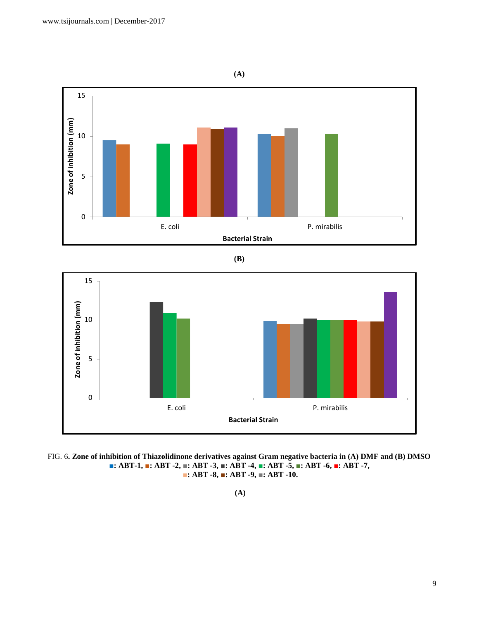

**(B)**



FIG. 6**. Zone of inhibition of Thiazolidinone derivatives against Gram negative bacteria in (A) DMF and (B) DMSO ■: ABT-1, ■: ABT -2, ■: ABT -3, ■: ABT -4, ■: ABT -5, ■: ABT -6, ■: ABT -7, ■: ABT -8, ■: ABT -9, ■: ABT -10.**

**(A)**

9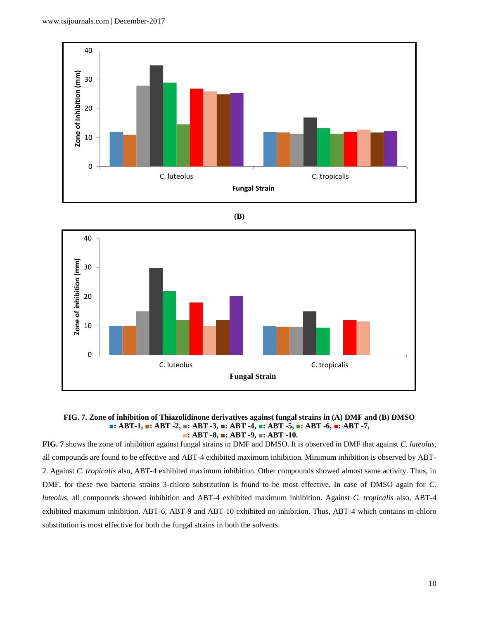







**FIG. 7** shows the zone of inhibition against fungal strains in DMF and DMSO. It is observed in DMF that against *C. luteolus*, all compounds are found to be effective and ABT-4 exhibited maximum inhibition. Minimum inhibition is observed by ABT-2. Against *C. tropicalis* also, ABT-4 exhibited maximum inhibition. Other compounds showed almost same activity. Thus, in DMF, for these two bacteria strains 3-chloro substitution is found to be most effective. In case of DMSO again for *C. luteolus,* all compounds showed inhibition and ABT-4 exhibited maximum inhibition. Against *C. tropicalis* also, ABT-4 exhibited maximum inhibition. ABT-6, ABT-9 and ABT-10 exhibited no inhibition. Thus, ABT-4 which contains m-chloro substitution is most effective for both the fungal strains in both the solvents.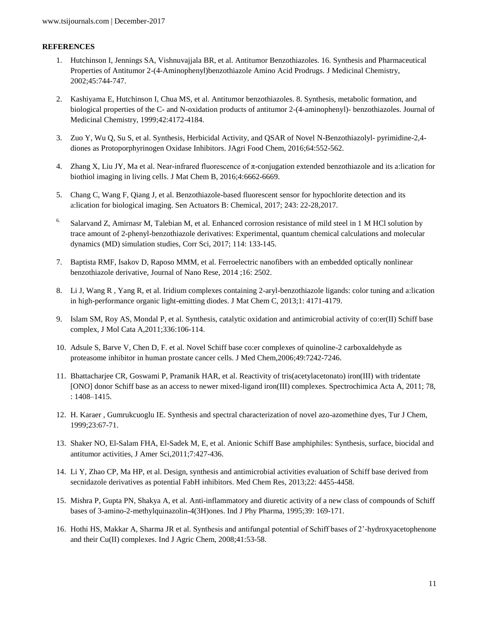### **REFERENCES**

- 1. Hutchinson I, Jennings SA, Vishnuvajjala BR, et al. Antitumor Benzothiazoles. 16. Synthesis and Pharmaceutical Properties of Antitumor 2-(4-Aminophenyl)benzothiazole Amino Acid Prodrugs. J Medicinal Chemistry, 2002;45:744-747.
- 2. Kashiyama E, Hutchinson I, Chua MS, et al. Antitumor benzothiazoles. 8. Synthesis, metabolic formation, and biological properties of the C- and N-oxidation products of antitumor 2-(4-aminophenyl)- benzothiazoles. Journal of Medicinal Chemistry, 1999;42:4172-4184.
- 3. Zuo Y, Wu Q, Su S, et al. Synthesis, Herbicidal Activity, and QSAR of Novel N-Benzothiazolyl- pyrimidine-2,4 diones as Protoporphyrinogen Oxidase Inhibitors. JAgri Food Chem, 2016;64:552-562.
- 4. Zhang X, Liu JY, Ma et al. Near-infrared fluorescence of  $\pi$ -conjugation extended benzothiazole and its a:lication for biothiol imaging in living cells. J Mat Chem B, 2016;4:6662-6669.
- 5. Chang C, Wang F, Qiang J, et al. Benzothiazole-based fluorescent sensor for hypochlorite detection and its a:lication for biological imaging. Sen Actuators B: Chemical, 2017; 243: 22-28,2017.
- <sup>6.</sup> Salarvand Z, Amirnasr M, Talebian M, et al. Enhanced corrosion resistance of mild steel in 1 M HCl solution by trace amount of 2-phenyl-benzothiazole derivatives: Experimental, quantum chemical calculations and molecular dynamics (MD) simulation studies, Corr Sci, 2017; 114: 133-145.
- 7. Baptista RMF, Isakov D, Raposo MMM, et al. Ferroelectric nanofibers with an embedded optically nonlinear benzothiazole derivative, Journal of Nano Rese, 2014 ;16: 2502.
- 8. Li J, Wang R , Yang R, et al. Iridium complexes containing 2-aryl-benzothiazole ligands: color tuning and a:lication in high-performance organic light-emitting diodes. J Mat Chem C, 2013;1: 4171-4179.
- 9. Islam SM, Roy AS, Mondal P, et al. Synthesis, catalytic oxidation and antimicrobial activity of co:er(II) Schiff base complex, J Mol Cata A,2011;336:106-114.
- 10. Adsule S, Barve V, Chen D, F. et al. Novel Schiff base co:er complexes of quinoline-2 carboxaldehyde as proteasome inhibitor in human prostate cancer cells. J Med Chem,2006;49:7242-7246.
- 11. Bhattacharjee CR, Goswami P, Pramanik HAR, et al. Reactivity of tris(acetylacetonato) iron(III) with tridentate [ONO] donor Schiff base as an access to newer mixed-ligand iron(III) complexes. Spectrochimica Acta A, 2011; 78, : 1408–1415.
- 12. H. Karaer , Gumrukcuoglu IE. Synthesis and spectral characterization of novel azo-azomethine dyes, Tur J Chem, 1999;23:67-71.
- 13. Shaker NO, El-Salam FHA, El-Sadek M, E, et al. Anionic Schiff Base amphiphiles: Synthesis, surface, biocidal and antitumor activities, J Amer Sci,2011;7:427-436.
- 14. Li Y, Zhao CP, Ma HP, et al. Design, synthesis and antimicrobial activities evaluation of Schiff base derived from secnidazole derivatives as potential FabH inhibitors. Med Chem Res, 2013;22: 4455-4458.
- 15. Mishra P, Gupta PN, Shakya A, et al. Anti-inflammatory and diuretic activity of a new class of compounds of Schiff bases of 3-amino-2-methylquinazolin-4(3H)ones. Ind J Phy Pharma, 1995;39: 169-171.
- 16. Hothi HS, Makkar A, Sharma JR et al. Synthesis and antifungal potential of Schiff bases of 2'-hydroxyacetophenone and their Cu(II) complexes. Ind J Agric Chem, 2008;41:53-58.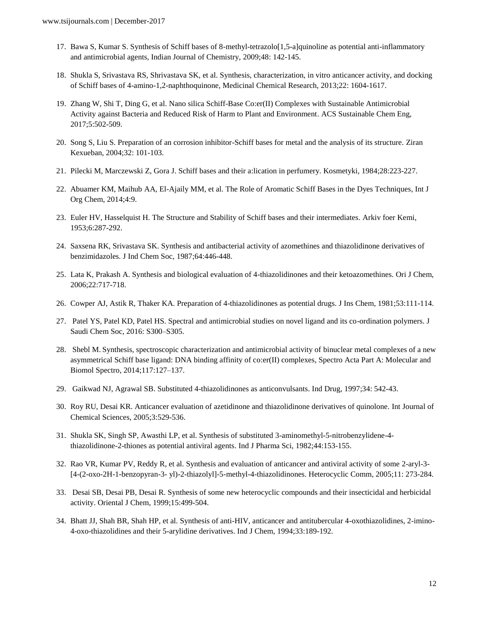- 17. Bawa S, Kumar S. Synthesis of Schiff bases of 8-methyl-tetrazolo[1,5-a]quinoline as potential anti-inflammatory and antimicrobial agents, Indian Journal of Chemistry, 2009;48: 142-145.
- 18. Shukla S, Srivastava RS, Shrivastava SK, et al. Synthesis, characterization, in vitro anticancer activity, and docking of Schiff bases of 4-amino-1,2-naphthoquinone, Medicinal Chemical Research, 2013;22: 1604-1617.
- 19. Zhang W, Shi T, Ding G, et al. Nano silica Schiff-Base Co:er(II) Complexes with Sustainable Antimicrobial Activity against Bacteria and Reduced Risk of Harm to Plant and Environment. ACS Sustainable Chem Eng, 2017;5:502-509.
- 20. Song S, Liu S. Preparation of an corrosion inhibitor-Schiff bases for metal and the analysis of its structure. Ziran Kexueban, 2004;32: 101-103.
- 21. Pilecki M, Marczewski Z, Gora J. Schiff bases and their a:lication in perfumery. Kosmetyki, 1984;28:223-227.
- 22. Abuamer KM, Maihub AA, El-Ajaily MM, et al. The Role of Aromatic Schiff Bases in the Dyes Techniques, Int J Org Chem, 2014;4:9.
- 23. Euler HV, Hasselquist H. The Structure and Stability of Schiff bases and their intermediates. Arkiv foer Kemi, 1953;6:287-292.
- 24. Saxsena RK, Srivastava SK. Synthesis and antibacterial activity of azomethines and thiazolidinone derivatives of benzimidazoles. J Ind Chem Soc, 1987;64:446-448.
- 25. Lata K, Prakash A. Synthesis and biological evaluation of 4-thiazolidinones and their ketoazomethines. Ori J Chem, 2006;22:717-718.
- 26. Cowper AJ, Astik R, Thaker KA. Preparation of 4-thiazolidinones as potential drugs. J Ins Chem, 1981;53:111-114.
- 27. Patel YS, Patel KD, Patel HS. Spectral and antimicrobial studies on novel ligand and its co-ordination polymers. J Saudi Chem Soc, 2016: S300–S305.
- 28. Shebl M. Synthesis, spectroscopic characterization and antimicrobial activity of binuclear metal complexes of a new asymmetrical Schiff base ligand: DNA binding affinity of co:er(II) complexes, Spectro Acta Part A: Molecular and Biomol Spectro, 2014;117:127–137.
- 29. Gaikwad NJ, Agrawal SB. Substituted 4-thiazolidinones as anticonvulsants. Ind Drug, 1997;34: 542-43.
- 30. Roy RU, Desai KR. Anticancer evaluation of azetidinone and thiazolidinone derivatives of quinolone. Int Journal of Chemical Sciences, 2005;3:529-536.
- 31. Shukla SK, Singh SP, Awasthi LP, et al. Synthesis of substituted 3-aminomethyl-5-nitrobenzylidene-4 thiazolidinone-2-thiones as potential antiviral agents. Ind J Pharma Sci, 1982;44:153-155.
- 32. Rao VR, Kumar PV, Reddy R, et al. Synthesis and evaluation of anticancer and antiviral activity of some 2-aryl-3- [4-(2-oxo-2H-1-benzopyran-3- yl)-2-thiazolyl]-5-methyl-4-thiazolidinones. Heterocyclic Comm, 2005;11: 273-284.
- 33. Desai SB, Desai PB, Desai R. Synthesis of some new heterocyclic compounds and their insecticidal and herbicidal activity. Oriental J Chem, 1999;15:499-504.
- 34. Bhatt JJ, Shah BR, Shah HP, et al. Synthesis of anti-HIV, anticancer and antitubercular 4-oxothiazolidines, 2-imino-4-oxo-thiazolidines and their 5-arylidine derivatives. Ind J Chem, 1994;33:189-192.